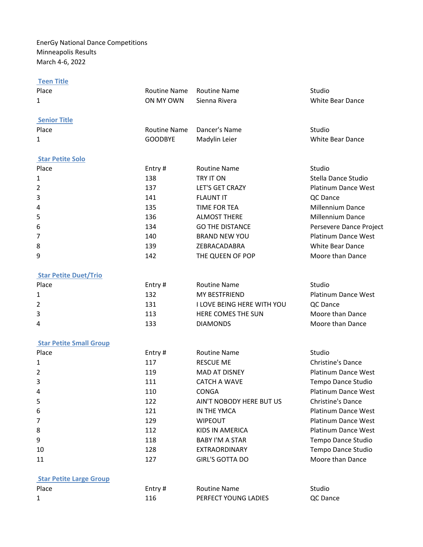EnerGy National Dance Competitions Minneapolis Results March 4-6, 2022

| <b>Teen Title</b>              |                     |                            |                            |
|--------------------------------|---------------------|----------------------------|----------------------------|
| Place                          | <b>Routine Name</b> | <b>Routine Name</b>        | Studio                     |
| $\mathbf{1}$                   | ON MY OWN           | Sienna Rivera              | <b>White Bear Dance</b>    |
| <b>Senior Title</b>            |                     |                            |                            |
| Place                          | <b>Routine Name</b> | Dancer's Name              | Studio                     |
| 1                              | <b>GOODBYE</b>      | Madylin Leier              | <b>White Bear Dance</b>    |
| <b>Star Petite Solo</b>        |                     |                            |                            |
| Place                          | Entry#              | <b>Routine Name</b>        | Studio                     |
| 1                              | 138                 | TRY IT ON                  | Stella Dance Studio        |
| 2                              | 137                 | LET'S GET CRAZY            | Platinum Dance West        |
| 3                              | 141                 | <b>FLAUNT IT</b>           | QC Dance                   |
| 4                              | 135                 | <b>TIME FOR TEA</b>        | Millennium Dance           |
| 5                              | 136                 | <b>ALMOST THERE</b>        | <b>Millennium Dance</b>    |
| 6                              | 134                 | <b>GO THE DISTANCE</b>     | Persevere Dance Project    |
| 7                              | 140                 | <b>BRAND NEW YOU</b>       | <b>Platinum Dance West</b> |
| 8                              | 139                 | ZEBRACADABRA               | <b>White Bear Dance</b>    |
| 9                              | 142                 | THE QUEEN OF POP           | Moore than Dance           |
| <b>Star Petite Duet/Trio</b>   |                     |                            |                            |
| Place                          | Entry#              | <b>Routine Name</b>        | Studio                     |
| 1                              | 132                 | MY BESTFRIEND              | <b>Platinum Dance West</b> |
| 2                              | 131                 | I LOVE BEING HERE WITH YOU | QC Dance                   |
| 3                              | 113                 | HERE COMES THE SUN         | Moore than Dance           |
| 4                              | 133                 | <b>DIAMONDS</b>            | Moore than Dance           |
| <b>Star Petite Small Group</b> |                     |                            |                            |
| Place                          | Entry#              | <b>Routine Name</b>        | Studio                     |
| 1                              | 117                 | <b>RESCUE ME</b>           | <b>Christine's Dance</b>   |
| 2                              | 119                 | <b>MAD AT DISNEY</b>       | <b>Platinum Dance West</b> |
| 3                              | 111                 | <b>CATCH A WAVE</b>        | Tempo Dance Studio         |
| 4                              | 110                 | <b>CONGA</b>               | <b>Platinum Dance West</b> |
| 5                              | 122                 | AIN'T NOBODY HERE BUT US   | <b>Christine's Dance</b>   |
| 6                              | 121                 | IN THE YMCA                | <b>Platinum Dance West</b> |
| 7                              | 129                 | <b>WIPEOUT</b>             | Platinum Dance West        |
| 8                              | 112                 | KIDS IN AMERICA            | <b>Platinum Dance West</b> |
| 9                              | 118                 | <b>BABY I'M A STAR</b>     | Tempo Dance Studio         |
| 10                             | 128                 | EXTRAORDINARY              | Tempo Dance Studio         |
| 11                             | 127                 | <b>GIRL'S GOTTA DO</b>     | Moore than Dance           |
| <b>Star Petite Large Group</b> |                     |                            |                            |
| Place                          | Entry#              | <b>Routine Name</b>        | Studio                     |
| 1                              | 116                 | PERFECT YOUNG LADIES       | QC Dance                   |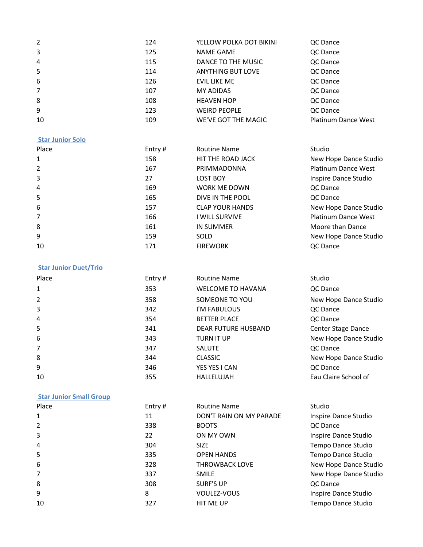| 2              | 124 | YELLOW POLKA DOT BIKINI  | QC Dance                   |
|----------------|-----|--------------------------|----------------------------|
| 3              | 125 | <b>NAME GAME</b>         | QC Dance                   |
| 4              | 115 | DANCE TO THE MUSIC       | QC Dance                   |
| 5              | 114 | <b>ANYTHING BUT LOVE</b> | QC Dance                   |
| 6              | 126 | EVIL LIKE ME             | QC Dance                   |
| $\overline{7}$ | 107 | <b>MY ADIDAS</b>         | QC Dance                   |
| 8              | 108 | <b>HEAVEN HOP</b>        | QC Dance                   |
| 9              | 123 | <b>WEIRD PEOPLE</b>      | QC Dance                   |
| 10             | 109 | WE'VE GOT THE MAGIC      | <b>Platinum Dance West</b> |

#### **Star Junior Solo**

| Place          | Entry# | <b>Routine Name</b>    | Studio                     |
|----------------|--------|------------------------|----------------------------|
| 1              | 158    | HIT THE ROAD JACK      | New Hope Dance Studio      |
| $\overline{2}$ | 167    | PRIMMADONNA            | Platinum Dance West        |
| 3              | 27     | LOST BOY               | Inspire Dance Studio       |
| $\overline{A}$ | 169    | <b>WORK ME DOWN</b>    | QC Dance                   |
| 5              | 165    | DIVE IN THE POOL       | QC Dance                   |
| 6              | 157    | <b>CLAP YOUR HANDS</b> | New Hope Dance Studio      |
| 7              | 166    | I WILL SURVIVE         | <b>Platinum Dance West</b> |
| 8              | 161    | IN SUMMER              | Moore than Dance           |
| 9              | 159    | SOLD                   | New Hope Dance Studio      |
| 10             | 171    | <b>FIREWORK</b>        | QC Dance                   |

## **Star Junior Duet/Trio**

| Place                  | Entry# | Routine Name               | Studio                |
|------------------------|--------|----------------------------|-----------------------|
| $\mathbf{1}$           | 353    | <b>WELCOME TO HAVANA</b>   | QC Dance              |
| 2                      | 358    | SOMEONE TO YOU             | New Hope Dance Studio |
| 3                      | 342    | I'M FABULOUS               | QC Dance              |
| $\boldsymbol{\Lambda}$ | 354    | <b>BETTER PLACE</b>        | QC Dance              |
| 5                      | 341    | <b>DEAR FUTURE HUSBAND</b> | Center Stage Dance    |
| 6                      | 343    | <b>TURN IT UP</b>          | New Hope Dance Studio |
| 7                      | 347    | <b>SALUTE</b>              | QC Dance              |
| 8                      | 344    | <b>CLASSIC</b>             | New Hope Dance Studio |
| 9                      | 346    | YES YES I CAN              | QC Dance              |
| 10                     | 355    | HALLELUJAH                 | Eau Claire School of  |

## **Star Junior Small Group**

| Place                  | Entry# | <b>Routine Name</b>     | Studio                |
|------------------------|--------|-------------------------|-----------------------|
| 1                      | 11     | DON'T RAIN ON MY PARADE | Inspire Dance Studio  |
| 2                      | 338    | <b>BOOTS</b>            | QC Dance              |
| 3                      | 22     | ON MY OWN               | Inspire Dance Studio  |
| $\boldsymbol{\Lambda}$ | 304    | <b>SIZE</b>             | Tempo Dance Studio    |
| 5                      | 335    | <b>OPEN HANDS</b>       | Tempo Dance Studio    |
| 6                      | 328    | <b>THROWBACK LOVE</b>   | New Hope Dance Studio |
| 7                      | 337    | <b>SMILE</b>            | New Hope Dance Studio |
| 8                      | 308    | SURF'S UP               | QC Dance              |
| 9                      | 8      | VOULEZ-VOUS             | Inspire Dance Studio  |
| 10                     | 327    | <b>HIT ME UP</b>        | Tempo Dance Studio    |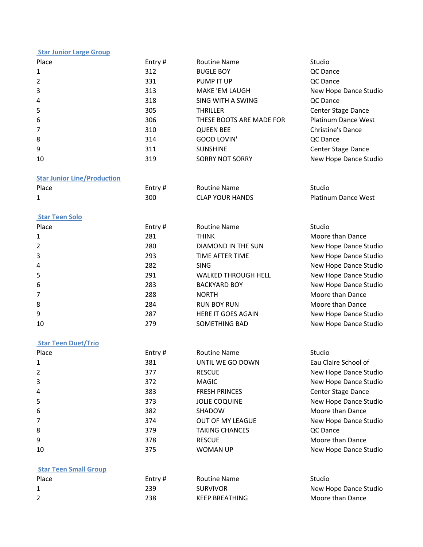### **Star Junior Large Group**

| Place          | Entry# | <b>Routine Name</b>      | Studio                     |
|----------------|--------|--------------------------|----------------------------|
| $\mathbf{1}$   | 312    | <b>BUGLE BOY</b>         | QC Dance                   |
| $\overline{2}$ | 331    | PUMP IT UP               | QC Dance                   |
| 3              | 313    | MAKE 'EM LAUGH           | New Hope Dance Studio      |
| $\overline{A}$ | 318    | SING WITH A SWING        | QC Dance                   |
| 5              | 305    | <b>THRILLER</b>          | Center Stage Dance         |
| 6              | 306    | THESE BOOTS ARE MADE FOR | <b>Platinum Dance West</b> |
| $\overline{7}$ | 310    | <b>QUEEN BEE</b>         | Christine's Dance          |
| 8              | 314    | <b>GOOD LOVIN'</b>       | QC Dance                   |
| 9              | 311    | <b>SUNSHINE</b>          | Center Stage Dance         |
| 10             | 319    | <b>SORRY NOT SORRY</b>   | New Hope Dance Studio      |

### **Star Junior Line/Production**

| Place | Entry# | <b>Routine Name</b>    | Studio                     |
|-------|--------|------------------------|----------------------------|
|       | 300    | <b>CLAP YOUR HANDS</b> | <b>Platinum Dance West</b> |

#### **Star Teen Solo**

| Place          | Entry $#$ | <b>Routine Name</b>        | Studio                |
|----------------|-----------|----------------------------|-----------------------|
| 1              | 281       | <b>THINK</b>               | Moore than Dance      |
| 2              | 280       | DIAMOND IN THE SUN         | New Hope Dance Studio |
| 3              | 293       | TIME AFTER TIME            | New Hope Dance Studio |
| $\overline{A}$ | 282       | <b>SING</b>                | New Hope Dance Studio |
| 5              | 291       | <b>WALKED THROUGH HELL</b> | New Hope Dance Studio |
| 6              | 283       | <b>BACKYARD BOY</b>        | New Hope Dance Studio |
| 7              | 288       | <b>NORTH</b>               | Moore than Dance      |
| 8              | 284       | <b>RUN BOY RUN</b>         | Moore than Dance      |
| 9              | 287       | HERE IT GOES AGAIN         | New Hope Dance Studio |
| 10             | 279       | SOMETHING BAD              | New Hope Dance Studio |

### **Star Teen Duet/Trio**

| Place        | Entry# | <b>Routine Name</b>     | Studio                |
|--------------|--------|-------------------------|-----------------------|
| $\mathbf{1}$ | 381    | UNTIL WE GO DOWN        | Eau Claire School of  |
| 2            | 377    | <b>RESCUE</b>           | New Hope Dance Studio |
| 3            | 372    | <b>MAGIC</b>            | New Hope Dance Studio |
| 4            | 383    | <b>FRESH PRINCES</b>    | Center Stage Dance    |
| 5            | 373    | <b>JOLIE COQUINE</b>    | New Hope Dance Studio |
| 6            | 382    | SHADOW                  | Moore than Dance      |
| 7            | 374    | <b>OUT OF MY LEAGUE</b> | New Hope Dance Studio |
| 8            | 379    | <b>TAKING CHANCES</b>   | QC Dance              |
| 9            | 378    | <b>RESCUE</b>           | Moore than Dance      |
| 10           | 375    | WOMAN UP                | New Hope Dance Studio |

# **Star Teen Small Group**

| Place | Entry # | <b>Routine Name</b> | Studio                |
|-------|---------|---------------------|-----------------------|
|       | 239     | <b>SURVIVOR</b>     | New Hope Dance Studio |
|       | 238     | KEEP BREATHING      | Moore than Dance      |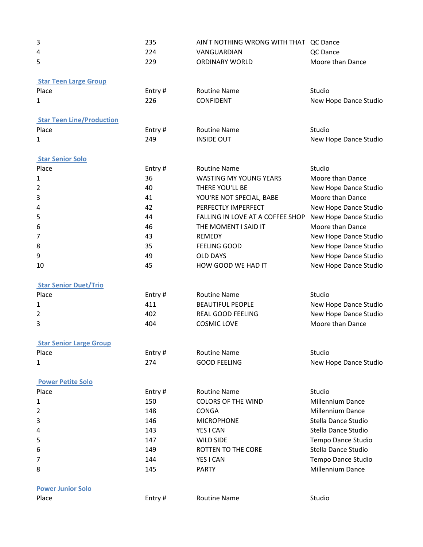| 3                                | 235    | AIN'T NOTHING WRONG WITH THAT    | QC Dance                |
|----------------------------------|--------|----------------------------------|-------------------------|
| 4                                | 224    | VANGUARDIAN                      | QC Dance                |
| 5                                | 229    | <b>ORDINARY WORLD</b>            | Moore than Dance        |
| <b>Star Teen Large Group</b>     |        |                                  |                         |
| Place                            | Entry# | <b>Routine Name</b>              | Studio                  |
| $\mathbf{1}$                     | 226    | <b>CONFIDENT</b>                 | New Hope Dance Studio   |
| <b>Star Teen Line/Production</b> |        |                                  |                         |
| Place                            | Entry# | <b>Routine Name</b>              | Studio                  |
| 1                                | 249    | <b>INSIDE OUT</b>                | New Hope Dance Studio   |
| <b>Star Senior Solo</b>          |        |                                  |                         |
| Place                            | Entry# | <b>Routine Name</b>              | Studio                  |
| 1                                | 36     | <b>WASTING MY YOUNG YEARS</b>    | Moore than Dance        |
| 2                                | 40     | THERE YOU'LL BE                  | New Hope Dance Studio   |
| 3                                | 41     | YOU'RE NOT SPECIAL, BABE         | Moore than Dance        |
| 4                                | 42     | PERFECTLY IMPERFECT              | New Hope Dance Studio   |
| 5                                | 44     | FALLING IN LOVE AT A COFFEE SHOP | New Hope Dance Studio   |
| 6                                | 46     | THE MOMENT I SAID IT             | Moore than Dance        |
| 7                                | 43     | <b>REMEDY</b>                    | New Hope Dance Studio   |
| 8                                | 35     | <b>FEELING GOOD</b>              | New Hope Dance Studio   |
| 9                                | 49     | <b>OLD DAYS</b>                  | New Hope Dance Studio   |
| 10                               | 45     | HOW GOOD WE HAD IT               | New Hope Dance Studio   |
| <b>Star Senior Duet/Trio</b>     |        |                                  |                         |
| Place                            | Entry# | <b>Routine Name</b>              | Studio                  |
| $\mathbf{1}$                     | 411    | <b>BEAUTIFUL PEOPLE</b>          | New Hope Dance Studio   |
| 2                                | 402    | <b>REAL GOOD FEELING</b>         | New Hope Dance Studio   |
| 3                                | 404    | <b>COSMIC LOVE</b>               | Moore than Dance        |
| <b>Star Senior Large Group</b>   |        |                                  |                         |
| Place                            | Entry# | <b>Routine Name</b>              | Studio                  |
| $\mathbf{1}$                     | 274    | <b>GOOD FEELING</b>              | New Hope Dance Studio   |
| <b>Power Petite Solo</b>         |        |                                  |                         |
| Place                            | Entry# | <b>Routine Name</b>              | Studio                  |
| 1                                | 150    | <b>COLORS OF THE WIND</b>        | <b>Millennium Dance</b> |
| 2                                | 148    | <b>CONGA</b>                     | Millennium Dance        |
| 3                                | 146    | <b>MICROPHONE</b>                | Stella Dance Studio     |
| 4                                | 143    | YES I CAN                        | Stella Dance Studio     |
| 5                                | 147    | <b>WILD SIDE</b>                 | Tempo Dance Studio      |
| 6                                | 149    | ROTTEN TO THE CORE               | Stella Dance Studio     |
| 7                                | 144    | YES I CAN                        | Tempo Dance Studio      |
| 8                                | 145    | <b>PARTY</b>                     | Millennium Dance        |
|                                  |        |                                  |                         |
| <b>Power Junior Solo</b>         |        |                                  |                         |
| Place                            | Entry# | <b>Routine Name</b>              | Studio                  |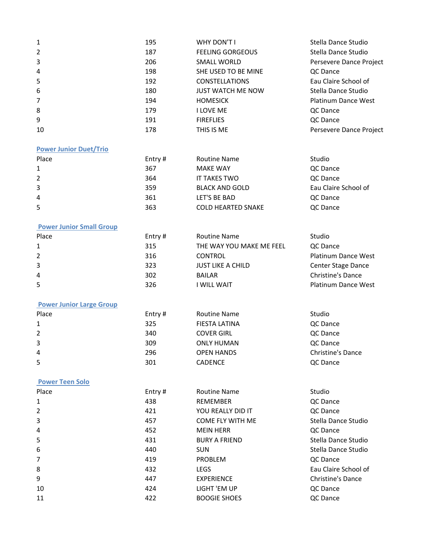| 1              | 195 | WHY DON'T I              | Stella Dance Studio     |
|----------------|-----|--------------------------|-------------------------|
| 2              | 187 | <b>FEELING GORGEOUS</b>  | Stella Dance Studio     |
| 3              | 206 | SMALL WORLD              | Persevere Dance Project |
| 4              | 198 | SHE USED TO BE MINE      | QC Dance                |
| 5              | 192 | <b>CONSTELLATIONS</b>    | Eau Claire School of    |
| 6              | 180 | <b>JUST WATCH ME NOW</b> | Stella Dance Studio     |
| $\overline{7}$ | 194 | <b>HOMESICK</b>          | Platinum Dance West     |
| 8              | 179 | I LOVE ME                | QC Dance                |
| 9              | 191 | <b>FIREFLIES</b>         | QC Dance                |
| 10             | 178 | THIS IS ME               | Persevere Dance Project |

# **Power Junior Duet/Trio**

| Place | Entry $#$ | <b>Routine Name</b>       | Studio               |
|-------|-----------|---------------------------|----------------------|
|       | 367       | <b>MAKE WAY</b>           | QC Dance             |
| 2     | 364       | IT TAKES TWO              | QC Dance             |
| 3     | 359       | <b>BLACK AND GOLD</b>     | Eau Claire School of |
| 4     | 361       | LET'S BE BAD              | QC Dance             |
| 5     | 363       | <b>COLD HEARTED SNAKE</b> | QC Dance             |

## **Power Junior Small Group**

| Place | Entry $#$ | <b>Routine Name</b>      | Studio                     |
|-------|-----------|--------------------------|----------------------------|
| 1     | 315       | THE WAY YOU MAKE ME FEEL | QC Dance                   |
| 2     | 316       | <b>CONTROL</b>           | Platinum Dance West        |
| 3     | 323       | <b>JUST LIKE A CHILD</b> | Center Stage Dance         |
| 4     | 302       | <b>BAILAR</b>            | Christine's Dance          |
| 5     | 326       | <b>WILL WAIT</b>         | <b>Platinum Dance West</b> |

### **Power Junior Large Group**

| Place | Entry $#$ | <b>Routine Name</b> | Studio            |
|-------|-----------|---------------------|-------------------|
| 1     | 325       | FIESTA LATINA       | QC Dance          |
| 2     | 340       | <b>COVER GIRL</b>   | QC Dance          |
| 3     | 309       | <b>ONLY HUMAN</b>   | QC Dance          |
| 4     | 296       | <b>OPEN HANDS</b>   | Christine's Dance |
| 5     | 301       | <b>CADENCE</b>      | QC Dance          |

# **Power Teen Solo**

| Place          | Entry# | <b>Routine Name</b>     | Studio                   |
|----------------|--------|-------------------------|--------------------------|
| 1              | 438    | <b>REMEMBER</b>         | QC Dance                 |
| $\overline{2}$ | 421    | YOU REALLY DID IT       | QC Dance                 |
| 3              | 457    | <b>COME FLY WITH ME</b> | Stella Dance Studio      |
| 4              | 452    | <b>MEIN HERR</b>        | QC Dance                 |
| 5              | 431    | <b>BURY A FRIEND</b>    | Stella Dance Studio      |
| 6              | 440    | <b>SUN</b>              | Stella Dance Studio      |
| $\overline{7}$ | 419    | <b>PROBLEM</b>          | QC Dance                 |
| 8              | 432    | <b>LEGS</b>             | Eau Claire School of     |
| 9              | 447    | EXPERIENCE              | <b>Christine's Dance</b> |
| 10             | 424    | LIGHT 'EM UP            | QC Dance                 |
| 11             | 422    | <b>BOOGIE SHOES</b>     | QC Dance                 |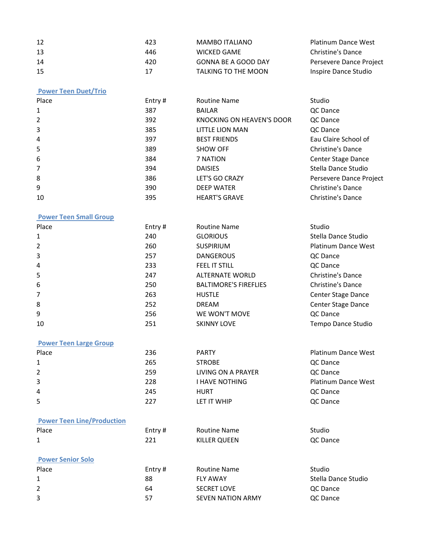| 12 | 423 | MAMBO ITALIANO      | <b>Platinum Dance West</b> |
|----|-----|---------------------|----------------------------|
| 13 | 446 | WICKED GAME         | Christine's Dance          |
| 14 | 420 | GONNA BE A GOOD DAY | Persevere Dance Project    |
| 15 | 17  | TALKING TO THE MOON | Inspire Dance Studio       |

# **Power Teen Duet/Trio**

| Place        | Entry# | <b>Routine Name</b>              | Studio                   |
|--------------|--------|----------------------------------|--------------------------|
| $\mathbf{1}$ | 387    | <b>BAILAR</b>                    | QC Dance                 |
| 2            | 392    | <b>KNOCKING ON HEAVEN'S DOOR</b> | QC Dance                 |
| 3            | 385    | LITTLE LION MAN                  | QC Dance                 |
| 4            | 397    | <b>BEST FRIENDS</b>              | Eau Claire School of     |
| 5            | 389    | <b>SHOW OFF</b>                  | Christine's Dance        |
| 6            | 384    | 7 NATION                         | Center Stage Dance       |
| 7            | 394    | <b>DAISIES</b>                   | Stella Dance Studio      |
| 8            | 386    | LET'S GO CRAZY                   | Persevere Dance Project  |
| 9            | 390    | <b>DEEP WATER</b>                | <b>Christine's Dance</b> |
| 10           | 395    | <b>HEART'S GRAVE</b>             | <b>Christine's Dance</b> |

# **Power Teen Small Group**

| Place          | Entry# | <b>Routine Name</b>          | Studio                     |
|----------------|--------|------------------------------|----------------------------|
| $\mathbf{1}$   | 240    | <b>GLORIOUS</b>              | Stella Dance Studio        |
| $\overline{2}$ | 260    | <b>SUSPIRIUM</b>             | <b>Platinum Dance West</b> |
| 3              | 257    | <b>DANGEROUS</b>             | QC Dance                   |
| 4              | 233    | <b>FEEL IT STILL</b>         | QC Dance                   |
| 5              | 247    | <b>ALTERNATE WORLD</b>       | Christine's Dance          |
| 6              | 250    | <b>BALTIMORE'S FIREFLIES</b> | Christine's Dance          |
| $\overline{7}$ | 263    | <b>HUSTLE</b>                | Center Stage Dance         |
| 8              | 252    | <b>DREAM</b>                 | Center Stage Dance         |
| 9              | 256    | WE WON'T MOVE                | QC Dance                   |
| 10             | 251    | <b>SKINNY LOVE</b>           | Tempo Dance Studio         |

#### **Power Teen Large Group**

| Place        | 236 | <b>PARTY</b>       | Platinum Dance West |
|--------------|-----|--------------------|---------------------|
| $\mathbf{1}$ | 265 | <b>STROBE</b>      | QC Dance            |
| 2            | 259 | LIVING ON A PRAYER | QC Dance            |
| 3            | 228 | I HAVE NOTHING     | Platinum Dance West |
| 4            | 245 | <b>HURT</b>        | QC Dance            |
| 5            | 227 | LET IT WHIP        | QC Dance            |

# **Power Teen Line/Production**

| Place                    | Entry $#$ | <b>Routine Name</b> | Studio   |
|--------------------------|-----------|---------------------|----------|
| 1                        | 221       | KILLER QUEEN        | QC Dance |
|                          |           |                     |          |
| <b>Power Senior Solo</b> |           |                     |          |
| Place                    | Entry $#$ | <b>Routine Name</b> | Studio   |

| r iacc. | $L$ iiuv $H$ | <b>NUULILIC INGILIC</b>  | <b>Juulu</b>        |
|---------|--------------|--------------------------|---------------------|
|         | 88           | <b>FLY AWAY</b>          | Stella Dance Studio |
|         | 64           | <b>SECRET LOVE</b>       | QC Dance            |
| 3       |              | <b>SEVEN NATION ARMY</b> | QC Dance            |
|         |              |                          |                     |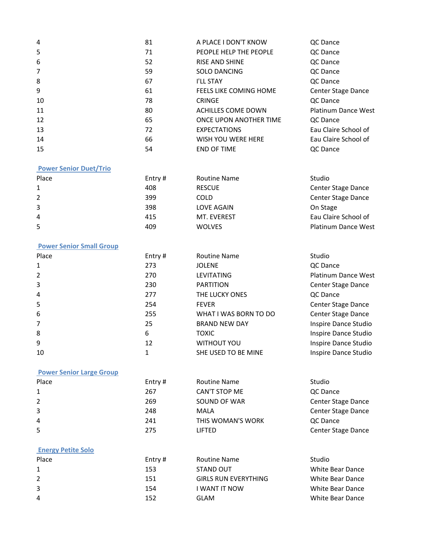| 4  | 81 | A PLACE I DON'T KNOW          | QC Dance             |
|----|----|-------------------------------|----------------------|
| 5  | 71 | PEOPLE HELP THE PEOPLE        | QC Dance             |
| 6  | 52 | <b>RISE AND SHINE</b>         | QC Dance             |
| 7  | 59 | <b>SOLO DANCING</b>           | QC Dance             |
| 8  | 67 | I'LL STAY                     | QC Dance             |
| 9  | 61 | <b>FEELS LIKE COMING HOME</b> | Center Stage Dance   |
| 10 | 78 | <b>CRINGE</b>                 | QC Dance             |
| 11 | 80 | ACHILLES COME DOWN            | Platinum Dance West  |
| 12 | 65 | ONCE UPON ANOTHER TIME        | QC Dance             |
| 13 | 72 | <b>EXPECTATIONS</b>           | Eau Claire School of |
| 14 | 66 | WISH YOU WERE HERE            | Eau Claire School of |
| 15 | 54 | <b>END OF TIME</b>            | QC Dance             |

#### **Power Senior Duet/Trio**

| Entry $#$ | <b>Routine Name</b> | Studio                     |
|-----------|---------------------|----------------------------|
| 408       | <b>RESCUE</b>       | Center Stage Dance         |
| 399       | COLD                | Center Stage Dance         |
| 398       | LOVE AGAIN          | On Stage                   |
| 415       | MT. EVEREST         | Eau Claire School of       |
| 409       | <b>WOLVES</b>       | <b>Platinum Dance West</b> |
|           |                     |                            |

#### **Power Senior Small Group**

| Place        | Entry# | <b>Routine Name</b>   | Studio                     |
|--------------|--------|-----------------------|----------------------------|
| $\mathbf{1}$ | 273    | <b>JOLENE</b>         | QC Dance                   |
| 2            | 270    | <b>LEVITATING</b>     | <b>Platinum Dance West</b> |
| 3            | 230    | <b>PARTITION</b>      | Center Stage Dance         |
| 4            | 277    | THE LUCKY ONES        | QC Dance                   |
| 5            | 254    | <b>FEVER</b>          | Center Stage Dance         |
| 6            | 255    | WHAT I WAS BORN TO DO | Center Stage Dance         |
| 7            | 25     | <b>BRAND NEW DAY</b>  | Inspire Dance Studio       |
| 8            | 6      | <b>TOXIC</b>          | Inspire Dance Studio       |
| 9            | 12     | <b>WITHOUT YOU</b>    | Inspire Dance Studio       |
| 10           |        | SHE USED TO BE MINE   | Inspire Dance Studio       |

## **Power Senior Large Group**

| Place        | Entry $#$ | <b>Routine Name</b> | Studio             |
|--------------|-----------|---------------------|--------------------|
| $\mathbf{1}$ | 267       | CAN'T STOP ME       | QC Dance           |
| 2            | 269       | SOUND OF WAR        | Center Stage Dance |
| 3            | 248       | MALA                | Center Stage Dance |
| 4            | 241       | THIS WOMAN'S WORK   | QC Dance           |
| 5            | 275       | <b>LIFTED</b>       | Center Stage Dance |

## **Energy Petite Solo**

| Place | Entry $#$ | <b>Routine Name</b>         | Studio           |
|-------|-----------|-----------------------------|------------------|
| 1     | 153       | STAND OUT                   | White Bear Dance |
| 2     | 151       | <b>GIRLS RUN EVERYTHING</b> | White Bear Dance |
| 3     | 154       | I WANT IT NOW               | White Bear Dance |
| 4     | 152       | GLAM                        | White Bear Dance |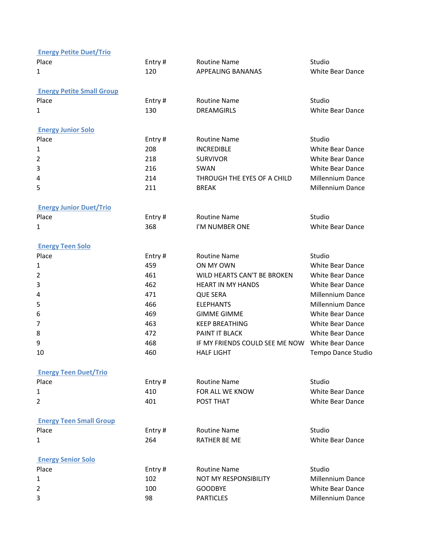| <b>Energy Petite Duet/Trio</b>   |        |                                |                         |
|----------------------------------|--------|--------------------------------|-------------------------|
| Place                            | Entry# | <b>Routine Name</b>            | Studio                  |
| 1                                | 120    | APPEALING BANANAS              | White Bear Dance        |
| <b>Energy Petite Small Group</b> |        |                                |                         |
| Place                            | Entry# | <b>Routine Name</b>            | Studio                  |
| 1                                | 130    | <b>DREAMGIRLS</b>              | <b>White Bear Dance</b> |
| <b>Energy Junior Solo</b>        |        |                                |                         |
| Place                            | Entry# | <b>Routine Name</b>            | Studio                  |
| 1                                | 208    | <b>INCREDIBLE</b>              | <b>White Bear Dance</b> |
| 2                                | 218    | <b>SURVIVOR</b>                | <b>White Bear Dance</b> |
| 3                                | 216    | SWAN                           | <b>White Bear Dance</b> |
| 4                                | 214    | THROUGH THE EYES OF A CHILD    | <b>Millennium Dance</b> |
| 5                                | 211    | <b>BREAK</b>                   | Millennium Dance        |
| <b>Energy Junior Duet/Trio</b>   |        |                                |                         |
| Place                            | Entry# | <b>Routine Name</b>            | Studio                  |
| 1                                | 368    | I'M NUMBER ONE                 | White Bear Dance        |
| <b>Energy Teen Solo</b>          |        |                                |                         |
| Place                            | Entry# | <b>Routine Name</b>            | Studio                  |
| 1                                | 459    | ON MY OWN                      | <b>White Bear Dance</b> |
| 2                                | 461    | WILD HEARTS CAN'T BE BROKEN    | <b>White Bear Dance</b> |
| 3                                | 462    | <b>HEART IN MY HANDS</b>       | <b>White Bear Dance</b> |
| 4                                | 471    | <b>QUE SERA</b>                | <b>Millennium Dance</b> |
| 5                                | 466    | <b>ELEPHANTS</b>               | <b>Millennium Dance</b> |
| 6                                | 469    | <b>GIMME GIMME</b>             | White Bear Dance        |
| 7                                | 463    | <b>KEEP BREATHING</b>          | White Bear Dance        |
| 8                                | 472    | PAINT IT BLACK                 | <b>White Bear Dance</b> |
| 9                                | 468    | IF MY FRIENDS COULD SEE ME NOW | <b>White Bear Dance</b> |
| 10                               | 460    | <b>HALF LIGHT</b>              | Tempo Dance Studio      |
| <b>Energy Teen Duet/Trio</b>     |        |                                |                         |
| Place                            | Entry# | <b>Routine Name</b>            | Studio                  |
| 1                                | 410    | FOR ALL WE KNOW                | <b>White Bear Dance</b> |
| 2                                | 401    | POST THAT                      | <b>White Bear Dance</b> |
| <b>Energy Teen Small Group</b>   |        |                                |                         |
| Place                            | Entry# | <b>Routine Name</b>            | Studio                  |
| 1                                | 264    | <b>RATHER BE ME</b>            | <b>White Bear Dance</b> |
| <b>Energy Senior Solo</b>        |        |                                |                         |
| Place                            | Entry# | <b>Routine Name</b>            | Studio                  |
| 1                                | 102    | NOT MY RESPONSIBILITY          | <b>Millennium Dance</b> |
| 2                                | 100    | <b>GOODBYE</b>                 | White Bear Dance        |
| 3                                | 98     | <b>PARTICLES</b>               | Millennium Dance        |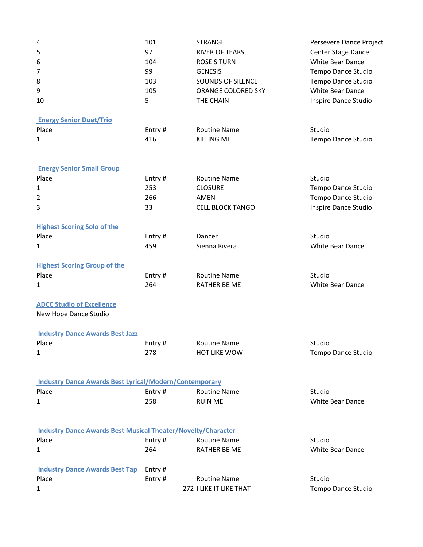| 4                                                                   | 101    | <b>STRANGE</b>          | Persevere Dance Project |
|---------------------------------------------------------------------|--------|-------------------------|-------------------------|
| 5                                                                   | 97     | <b>RIVER OF TEARS</b>   | Center Stage Dance      |
| 6                                                                   | 104    | <b>ROSE'S TURN</b>      | <b>White Bear Dance</b> |
| 7                                                                   | 99     | <b>GENESIS</b>          | Tempo Dance Studio      |
| 8                                                                   | 103    | SOUNDS OF SILENCE       | Tempo Dance Studio      |
| 9                                                                   | 105    | ORANGE COLORED SKY      | White Bear Dance        |
| 10                                                                  | 5      | THE CHAIN               | Inspire Dance Studio    |
| <b>Energy Senior Duet/Trio</b>                                      |        |                         |                         |
| Place                                                               | Entry# | <b>Routine Name</b>     | Studio                  |
| 1                                                                   | 416    | <b>KILLING ME</b>       | Tempo Dance Studio      |
| <b>Energy Senior Small Group</b>                                    |        |                         |                         |
| Place                                                               | Entry# | <b>Routine Name</b>     | Studio                  |
| 1                                                                   | 253    | <b>CLOSURE</b>          | Tempo Dance Studio      |
| 2                                                                   | 266    | AMEN                    | Tempo Dance Studio      |
| 3                                                                   | 33     | <b>CELL BLOCK TANGO</b> | Inspire Dance Studio    |
| <b>Highest Scoring Solo of the</b>                                  |        |                         |                         |
| Place                                                               | Entry# | Dancer                  | Studio                  |
| 1                                                                   | 459    | Sienna Rivera           | White Bear Dance        |
| <b>Highest Scoring Group of the</b>                                 |        |                         |                         |
| Place                                                               | Entry# | <b>Routine Name</b>     | Studio                  |
| 1                                                                   | 264    | <b>RATHER BE ME</b>     | White Bear Dance        |
| <b>ADCC Studio of Excellence</b>                                    |        |                         |                         |
| New Hope Dance Studio                                               |        |                         |                         |
| <b>Industry Dance Awards Best Jazz</b>                              |        |                         |                         |
| Place                                                               | Entry# | <b>Routine Name</b>     | Studio                  |
| 1                                                                   | 278    | <b>HOT LIKE WOW</b>     | Tempo Dance Studio      |
| <b>Industry Dance Awards Best Lyrical/Modern/Contemporary</b>       |        |                         |                         |
| Place                                                               | Entry# | <b>Routine Name</b>     | Studio                  |
| $\mathbf{1}$                                                        | 258    | <b>RUIN ME</b>          | <b>White Bear Dance</b> |
|                                                                     |        |                         |                         |
| <b>Industry Dance Awards Best Musical Theater/Novelty/Character</b> |        |                         |                         |
| Place                                                               | Entry# | <b>Routine Name</b>     | Studio                  |
| 1                                                                   | 264    | RATHER BE ME            | White Bear Dance        |
| <b>Industry Dance Awards Best Tap</b>                               | Entry# |                         |                         |
| Place                                                               | Entry# | <b>Routine Name</b>     | Studio                  |
| 1                                                                   |        | 272 I LIKE IT LIKE THAT | Tempo Dance Studio      |